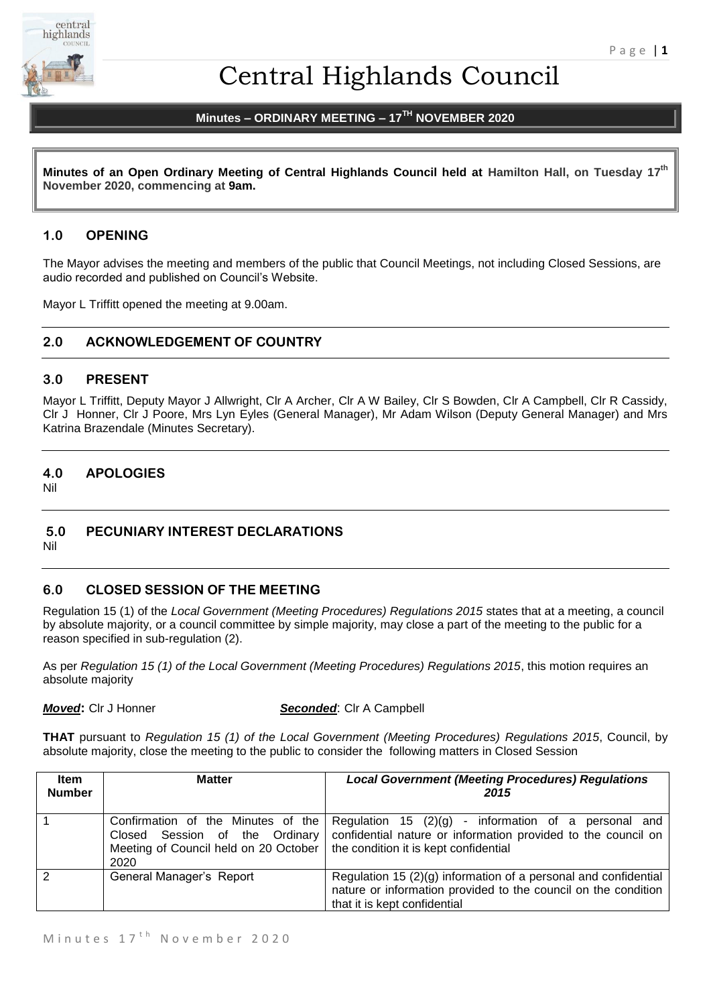

# Central Highlands Council

# **Minutes – ORDINARY MEETING – 17TH NOVEMBER 2020**

**Minutes of an Open Ordinary Meeting of Central Highlands Council held at Hamilton Hall, on Tuesday 17th November 2020, commencing at 9am.**

## **1.0 OPENING**

The Mayor advises the meeting and members of the public that Council Meetings, not including Closed Sessions, are audio recorded and published on Council's Website.

Mayor L Triffitt opened the meeting at 9.00am.

# **2.0 ACKNOWLEDGEMENT OF COUNTRY**

#### **3.0 PRESENT**

Mayor L Triffitt, Deputy Mayor J Allwright, Clr A Archer, Clr A W Bailey, Clr S Bowden, Clr A Campbell, Clr R Cassidy, Clr J Honner, Clr J Poore, Mrs Lyn Eyles (General Manager), Mr Adam Wilson (Deputy General Manager) and Mrs Katrina Brazendale (Minutes Secretary).

# **4.0 APOLOGIES**

Nil

# **5.0 PECUNIARY INTEREST DECLARATIONS**

Nil

# **6.0 CLOSED SESSION OF THE MEETING**

Regulation 15 (1) of the *Local Government (Meeting Procedures) Regulations 2015* states that at a meeting, a council by absolute majority, or a council committee by simple majority, may close a part of the meeting to the public for a reason specified in sub-regulation (2).

As per *Regulation 15 (1) of the Local Government (Meeting Procedures) Regulations 2015*, this motion requires an absolute majority

*Moved***:** Clr J Honner *Seconded*: Clr A Campbell

**THAT** pursuant to *Regulation 15 (1) of the Local Government (Meeting Procedures) Regulations 2015*, Council, by absolute majority, close the meeting to the public to consider the following matters in Closed Session

| <b>Item</b><br><b>Number</b> | <b>Matter</b>                                                                                                            | <b>Local Government (Meeting Procedures) Regulations</b><br>2015                                                                                                    |  |
|------------------------------|--------------------------------------------------------------------------------------------------------------------------|---------------------------------------------------------------------------------------------------------------------------------------------------------------------|--|
|                              | Confirmation of the Minutes of the<br>Session of the Ordinary<br>Closed<br>Meeting of Council held on 20 October<br>2020 | Regulation 15 $(2)(g)$ - information of a personal and<br>confidential nature or information provided to the council on<br>the condition it is kept confidential    |  |
| $\mathcal{P}$                | General Manager's Report                                                                                                 | Regulation 15 $(2)(g)$ information of a personal and confidential<br>nature or information provided to the council on the condition<br>that it is kept confidential |  |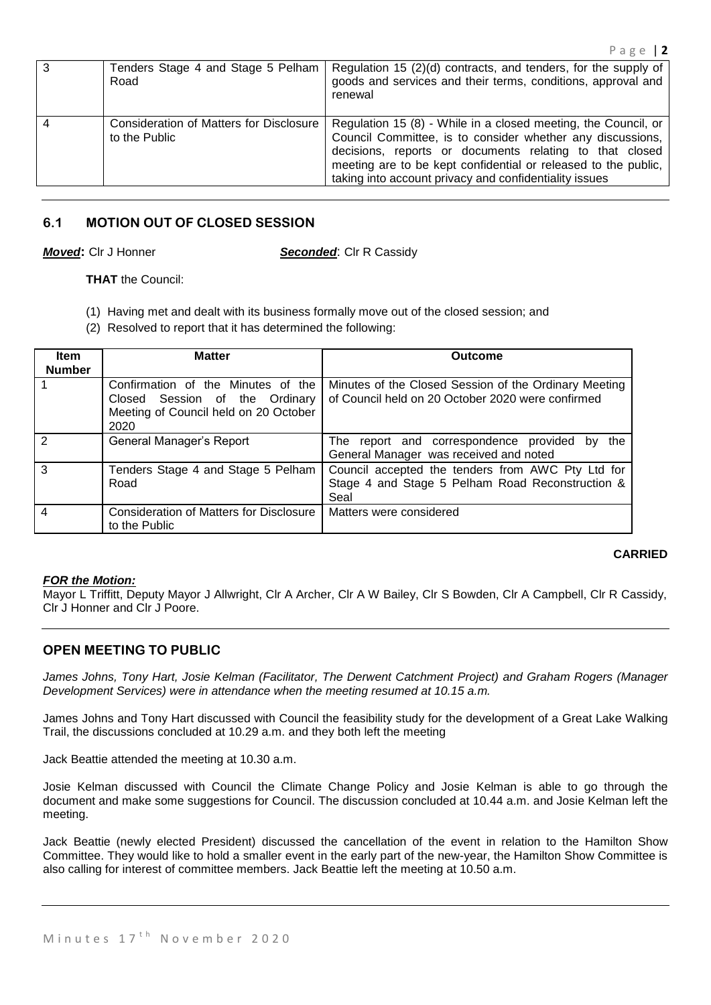| 3 | Tenders Stage 4 and Stage 5 Pelham<br>Road               | Regulation 15 (2)(d) contracts, and tenders, for the supply of<br>goods and services and their terms, conditions, approval and<br>renewal                                                                                                                                                                           |
|---|----------------------------------------------------------|---------------------------------------------------------------------------------------------------------------------------------------------------------------------------------------------------------------------------------------------------------------------------------------------------------------------|
|   | Consideration of Matters for Disclosure<br>to the Public | Regulation 15 (8) - While in a closed meeting, the Council, or<br>Council Committee, is to consider whether any discussions,<br>decisions, reports or documents relating to that closed<br>meeting are to be kept confidential or released to the public,<br>taking into account privacy and confidentiality issues |

# **6.1 MOTION OUT OF CLOSED SESSION**

*Moved***:** Clr J Honner *Seconded*: Clr R Cassidy

**THAT** the Council:

- (1) Having met and dealt with its business formally move out of the closed session; and
- (2) Resolved to report that it has determined the following:

| <b>Item</b><br><b>Number</b> | <b>Matter</b>                                                                                                         | <b>Outcome</b>                                                                                                |  |
|------------------------------|-----------------------------------------------------------------------------------------------------------------------|---------------------------------------------------------------------------------------------------------------|--|
|                              | Confirmation of the Minutes of the<br>Closed Session of the Ordinary<br>Meeting of Council held on 20 October<br>2020 | Minutes of the Closed Session of the Ordinary Meeting<br>of Council held on 20 October 2020 were confirmed    |  |
| $\mathcal{P}$                | General Manager's Report                                                                                              | The report and correspondence provided<br>the<br>bv.<br>General Manager was received and noted                |  |
| 3                            | Tenders Stage 4 and Stage 5 Pelham<br>Road                                                                            | Council accepted the tenders from AWC Pty Ltd for<br>Stage 4 and Stage 5 Pelham Road Reconstruction &<br>Seal |  |
| $\overline{4}$               | <b>Consideration of Matters for Disclosure</b><br>to the Public                                                       | Matters were considered                                                                                       |  |

# **CARRIED**

#### *FOR the Motion:*

Mayor L Triffitt, Deputy Mayor J Allwright, Clr A Archer, Clr A W Bailey, Clr S Bowden, Clr A Campbell, Clr R Cassidy, Clr J Honner and Clr J Poore.

# **OPEN MEETING TO PUBLIC**

*James Johns, Tony Hart, Josie Kelman (Facilitator, The Derwent Catchment Project) and Graham Rogers (Manager Development Services) were in attendance when the meeting resumed at 10.15 a.m.*

James Johns and Tony Hart discussed with Council the feasibility study for the development of a Great Lake Walking Trail, the discussions concluded at 10.29 a.m. and they both left the meeting

Jack Beattie attended the meeting at 10.30 a.m.

Josie Kelman discussed with Council the Climate Change Policy and Josie Kelman is able to go through the document and make some suggestions for Council. The discussion concluded at 10.44 a.m. and Josie Kelman left the meeting.

Jack Beattie (newly elected President) discussed the cancellation of the event in relation to the Hamilton Show Committee. They would like to hold a smaller event in the early part of the new-year, the Hamilton Show Committee is also calling for interest of committee members. Jack Beattie left the meeting at 10.50 a.m.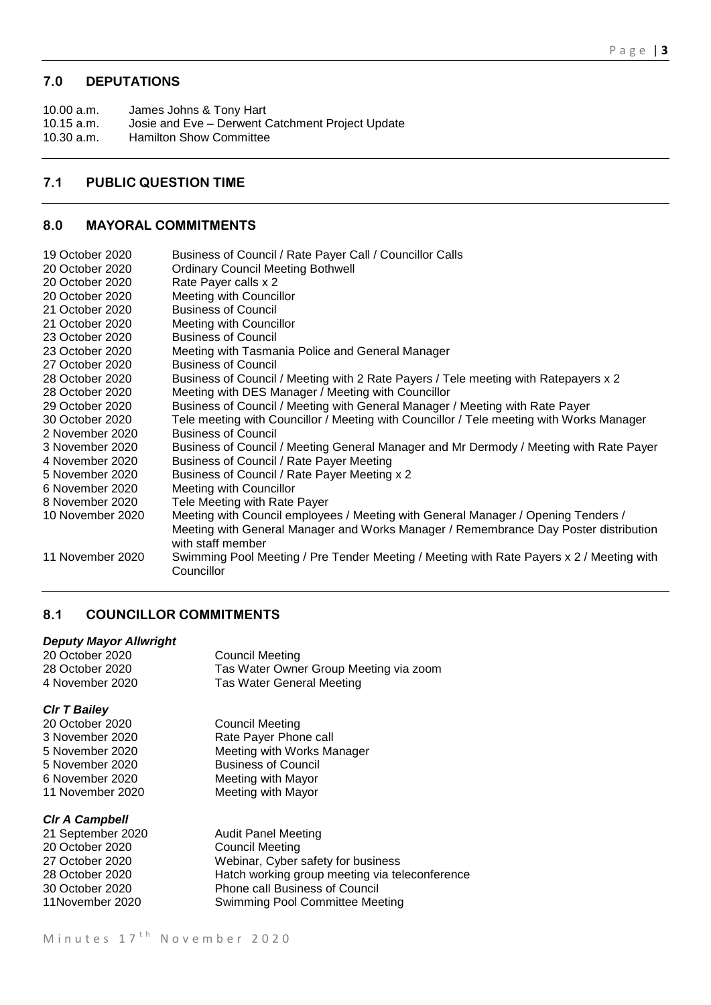# **7.0 DEPUTATIONS**

10.00 a.m. James Johns & Tony Hart<br>10.15 a.m. Josie and Eve - Derwent ( Josie and Eve – Derwent Catchment Project Update 10.30 a.m. Hamilton Show Committee

# **7.1 PUBLIC QUESTION TIME**

## **8.0 MAYORAL COMMITMENTS**

| 19 October 2020  | Business of Council / Rate Payer Call / Councillor Calls                                                  |
|------------------|-----------------------------------------------------------------------------------------------------------|
| 20 October 2020  | <b>Ordinary Council Meeting Bothwell</b>                                                                  |
| 20 October 2020  | Rate Payer calls x 2                                                                                      |
| 20 October 2020  | Meeting with Councillor                                                                                   |
| 21 October 2020  | <b>Business of Council</b>                                                                                |
| 21 October 2020  | <b>Meeting with Councillor</b>                                                                            |
| 23 October 2020  | <b>Business of Council</b>                                                                                |
| 23 October 2020  | Meeting with Tasmania Police and General Manager                                                          |
| 27 October 2020  | <b>Business of Council</b>                                                                                |
| 28 October 2020  | Business of Council / Meeting with 2 Rate Payers / Tele meeting with Ratepayers x 2                       |
| 28 October 2020  | Meeting with DES Manager / Meeting with Councillor                                                        |
| 29 October 2020  | Business of Council / Meeting with General Manager / Meeting with Rate Payer                              |
| 30 October 2020  | Tele meeting with Councillor / Meeting with Councillor / Tele meeting with Works Manager                  |
| 2 November 2020  | <b>Business of Council</b>                                                                                |
| 3 November 2020  | Business of Council / Meeting General Manager and Mr Dermody / Meeting with Rate Payer                    |
| 4 November 2020  | Business of Council / Rate Payer Meeting                                                                  |
| 5 November 2020  | Business of Council / Rate Payer Meeting x 2                                                              |
| 6 November 2020  | <b>Meeting with Councillor</b>                                                                            |
| 8 November 2020  | Tele Meeting with Rate Payer                                                                              |
| 10 November 2020 | Meeting with Council employees / Meeting with General Manager / Opening Tenders /                         |
|                  | Meeting with General Manager and Works Manager / Remembrance Day Poster distribution<br>with staff member |
| 11 November 2020 | Swimming Pool Meeting / Pre Tender Meeting / Meeting with Rate Payers x 2 / Meeting with<br>Councillor    |

# **8.1 COUNCILLOR COMMITMENTS**

#### *Deputy Mayor Allwright*

| 20 October 2020 | Council Meeting                        |
|-----------------|----------------------------------------|
| 28 October 2020 | Tas Water Owner Group Meeting via zoom |
| 4 November 2020 | Tas Water General Meeting              |

# *Clr T Bailey*

20 October 2020 Council Meeting 3 November 2020 Rate Payer Phone call<br>5 November 2020 Meeting with Works Ma 5 November 2020 Meeting with Works Manager<br>5 November 2020 Business of Council 5 November 2020<br>
6 November 2020<br> **Example 1920**<br> **Example 1920**<br> **Example 1920**<br> **Example 1920**<br> **Example 1920**<br> **Example 1920**<br> **Example 1920** 6 November 2020 Meeting with Mayor Meeting with Mayor

#### *Clr A Campbell*

| 21 September 2020 | <b>Audit Panel Meeting</b>                     |
|-------------------|------------------------------------------------|
| 20 October 2020   | <b>Council Meeting</b>                         |
| 27 October 2020   | Webinar, Cyber safety for business             |
| 28 October 2020   | Hatch working group meeting via teleconference |
| 30 October 2020   | Phone call Business of Council                 |
| 11November 2020   | Swimming Pool Committee Meeting                |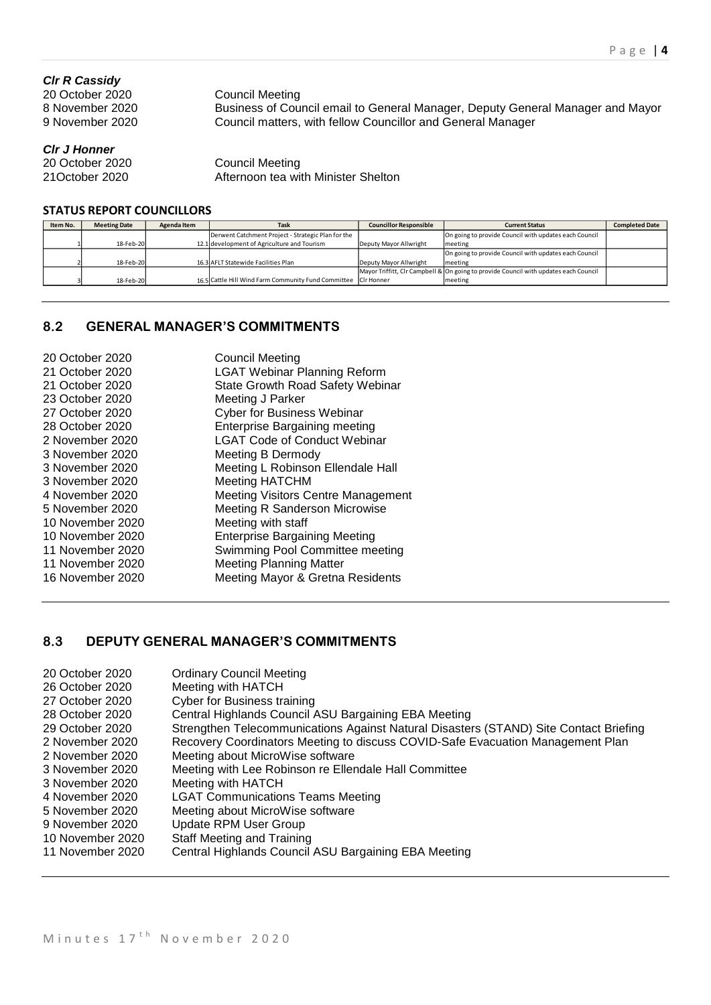#### *Clr R Cassidy*

20 October 2020 Council Meeting

8 November 2020 Business of Council email to General Manager, Deputy General Manager and Mayor<br>9 November 2020 Council matters, with fellow Councillor and General Manager Council matters, with fellow Councillor and General Manager

*Clr J Honner*

20 October 2020 Council Meeting<br>
21 October 2020 Afternoon tea wit Afternoon tea with Minister Shelton

#### **STATUS REPORT COUNCILLORS**

| Item No. | <b>Meeting Date</b> | Agenda Item | Task                                                           | <b>Councillor Responsible</b> | <b>Current Status</b>                                                                | <b>Completed Date</b> |
|----------|---------------------|-------------|----------------------------------------------------------------|-------------------------------|--------------------------------------------------------------------------------------|-----------------------|
|          |                     |             | Derwent Catchment Project - Strategic Plan for the             |                               | On going to provide Council with updates each Council                                |                       |
|          | 18-Feb-20           |             | 12.1 development of Agriculture and Tourism                    | Deputy Mayor Allwright        | meeting                                                                              |                       |
|          |                     |             |                                                                |                               | On going to provide Council with updates each Council                                |                       |
|          | 18-Feb-20           |             | 16.3 AFLT Statewide Facilities Plan                            | Deputy Mayor Allwright        | meeting                                                                              |                       |
|          |                     |             |                                                                |                               | Mayor Triffitt, CIr Campbell & On going to provide Council with updates each Council |                       |
|          | 18-Feb-20           |             | 16.5 Cattle Hill Wind Farm Community Fund Committee Cir Honner |                               | meeting                                                                              |                       |

# **8.2 GENERAL MANAGER'S COMMITMENTS**

| 20 October 2020  | <b>Council Meeting</b>                    |
|------------------|-------------------------------------------|
| 21 October 2020  | <b>LGAT Webinar Planning Reform</b>       |
| 21 October 2020  | State Growth Road Safety Webinar          |
| 23 October 2020  | Meeting J Parker                          |
| 27 October 2020  | <b>Cyber for Business Webinar</b>         |
| 28 October 2020  | <b>Enterprise Bargaining meeting</b>      |
| 2 November 2020  | <b>LGAT Code of Conduct Webinar</b>       |
| 3 November 2020  | Meeting B Dermody                         |
| 3 November 2020  | Meeting L Robinson Ellendale Hall         |
| 3 November 2020  | <b>Meeting HATCHM</b>                     |
| 4 November 2020  | <b>Meeting Visitors Centre Management</b> |
| 5 November 2020  | <b>Meeting R Sanderson Microwise</b>      |
| 10 November 2020 | Meeting with staff                        |
| 10 November 2020 | <b>Enterprise Bargaining Meeting</b>      |
| 11 November 2020 | Swimming Pool Committee meeting           |
| 11 November 2020 | <b>Meeting Planning Matter</b>            |
| 16 November 2020 | Meeting Mayor & Gretna Residents          |
|                  |                                           |

# **8.3 DEPUTY GENERAL MANAGER'S COMMITMENTS**

| 20 October 2020<br>26 October 2020<br>27 October 2020<br>28 October 2020<br>29 October 2020<br>2 November 2020<br>2 November 2020<br>3 November 2020<br>3 November 2020<br>4 November 2020 | <b>Ordinary Council Meeting</b><br>Meeting with HATCH<br><b>Cyber for Business training</b><br>Central Highlands Council ASU Bargaining EBA Meeting<br>Strengthen Telecommunications Against Natural Disasters (STAND) Site Contact Briefing<br>Recovery Coordinators Meeting to discuss COVID-Safe Evacuation Management Plan<br>Meeting about MicroWise software<br>Meeting with Lee Robinson re Ellendale Hall Committee<br>Meeting with HATCH<br><b>LGAT Communications Teams Meeting</b> |
|--------------------------------------------------------------------------------------------------------------------------------------------------------------------------------------------|-----------------------------------------------------------------------------------------------------------------------------------------------------------------------------------------------------------------------------------------------------------------------------------------------------------------------------------------------------------------------------------------------------------------------------------------------------------------------------------------------|
|                                                                                                                                                                                            |                                                                                                                                                                                                                                                                                                                                                                                                                                                                                               |
|                                                                                                                                                                                            |                                                                                                                                                                                                                                                                                                                                                                                                                                                                                               |
|                                                                                                                                                                                            |                                                                                                                                                                                                                                                                                                                                                                                                                                                                                               |
|                                                                                                                                                                                            |                                                                                                                                                                                                                                                                                                                                                                                                                                                                                               |
|                                                                                                                                                                                            |                                                                                                                                                                                                                                                                                                                                                                                                                                                                                               |
|                                                                                                                                                                                            |                                                                                                                                                                                                                                                                                                                                                                                                                                                                                               |
| 5 November 2020                                                                                                                                                                            | Meeting about MicroWise software                                                                                                                                                                                                                                                                                                                                                                                                                                                              |
| 9 November 2020                                                                                                                                                                            | <b>Update RPM User Group</b>                                                                                                                                                                                                                                                                                                                                                                                                                                                                  |
| 10 November 2020                                                                                                                                                                           | Staff Meeting and Training                                                                                                                                                                                                                                                                                                                                                                                                                                                                    |
| 11 November 2020                                                                                                                                                                           | Central Highlands Council ASU Bargaining EBA Meeting                                                                                                                                                                                                                                                                                                                                                                                                                                          |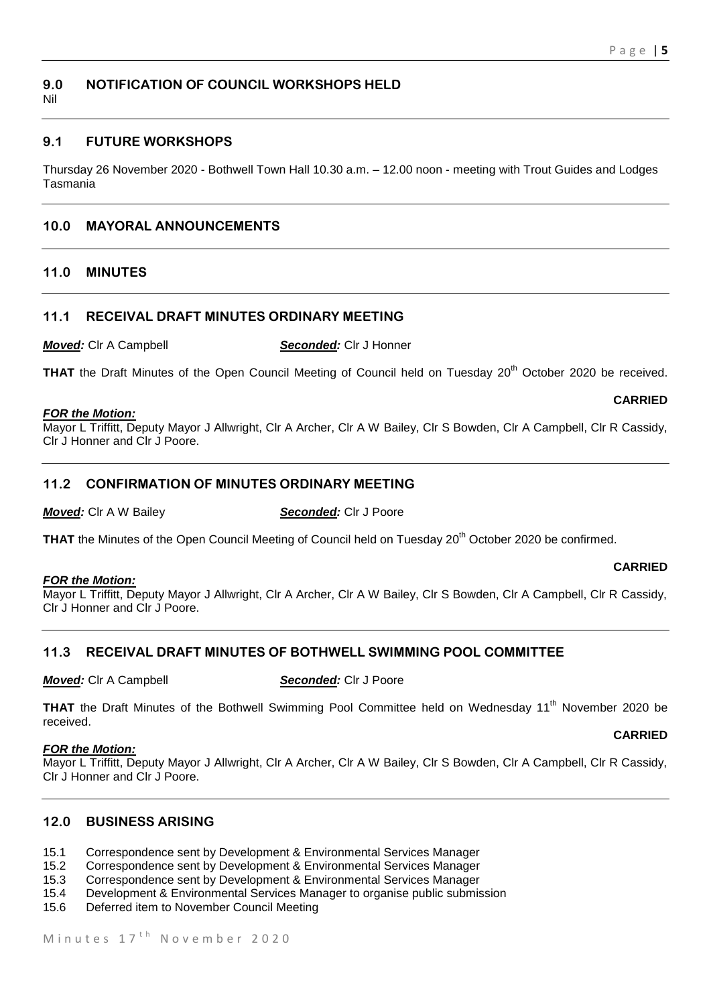# **9.0 NOTIFICATION OF COUNCIL WORKSHOPS HELD**

Nil

# **9.1 FUTURE WORKSHOPS**

Thursday 26 November 2020 - Bothwell Town Hall 10.30 a.m. – 12.00 noon - meeting with Trout Guides and Lodges Tasmania

# **10.0 MAYORAL ANNOUNCEMENTS**

#### **11.0 MINUTES**

#### **11.1 RECEIVAL DRAFT MINUTES ORDINARY MEETING**

*Moved:* Clr A Campbell *Seconded:* Clr J Honner

THAT the Draft Minutes of the Open Council Meeting of Council held on Tuesday 20<sup>th</sup> October 2020 be received.

#### *FOR the Motion:*

Mayor L Triffitt, Deputy Mayor J Allwright, Clr A Archer, Clr A W Bailey, Clr S Bowden, Clr A Campbell, Clr R Cassidy, Clr J Honner and Clr J Poore.

# **11.2 CONFIRMATION OF MINUTES ORDINARY MEETING**

#### *Moved:* Clr A W Bailey **Seconded:** Clr J Poore

THAT the Minutes of the Open Council Meeting of Council held on Tuesday 20<sup>th</sup> October 2020 be confirmed.

#### *FOR the Motion:*

#### **CARRIED**

**CARRIED**

Mayor L Triffitt, Deputy Mayor J Allwright, Clr A Archer, Clr A W Bailey, Clr S Bowden, Clr A Campbell, Clr R Cassidy, Clr J Honner and Clr J Poore.

# **11.3 RECEIVAL DRAFT MINUTES OF BOTHWELL SWIMMING POOL COMMITTEE**

*Moved:* Clr A Campbell *Seconded:* Clr J Poore

THAT the Draft Minutes of the Bothwell Swimming Pool Committee held on Wednesday 11<sup>th</sup> November 2020 be received.

#### *FOR the Motion:*

Mayor L Triffitt, Deputy Mayor J Allwright, Clr A Archer, Clr A W Bailey, Clr S Bowden, Clr A Campbell, Clr R Cassidy, Clr J Honner and Clr J Poore.

## **12.0 BUSINESS ARISING**

- 15.1 Correspondence sent by Development & Environmental Services Manager
- 15.2 Correspondence sent by Development & Environmental Services Manager
- 15.3 Correspondence sent by Development & Environmental Services Manager
- 15.4 Development & Environmental Services Manager to organise public submission
- 15.6 Deferred item to November Council Meeting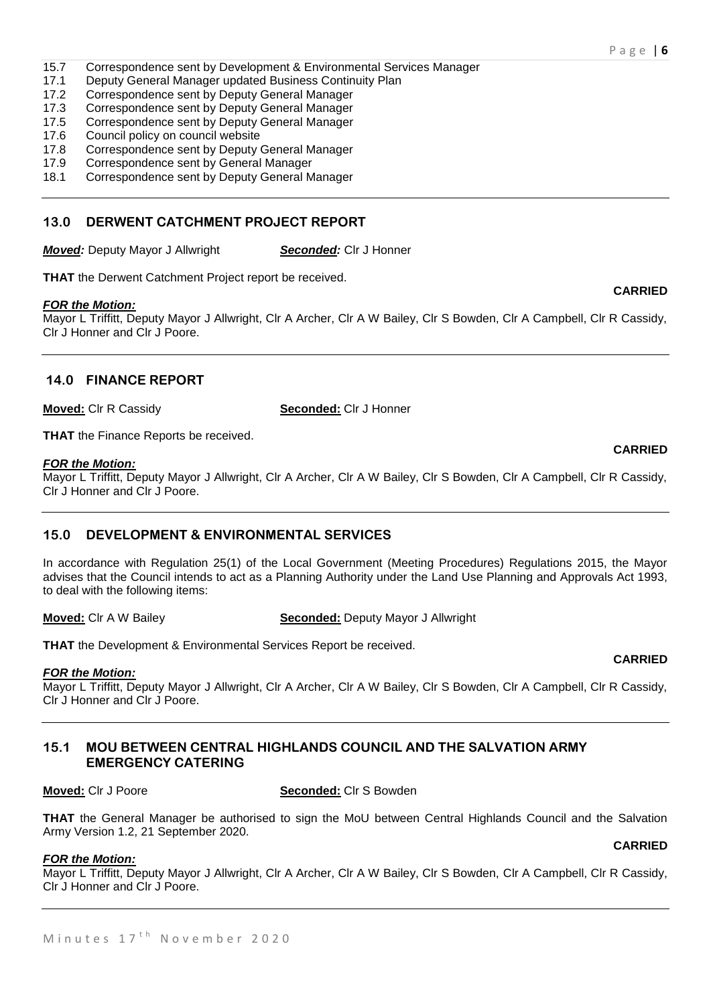- 15.7 Correspondence sent by Development & Environmental Services Manager
- 17.1 Deputy General Manager updated Business Continuity Plan
- 17.2 Correspondence sent by Deputy General Manager
- 17.3 Correspondence sent by Deputy General Manager
- 17.5 Correspondence sent by Deputy General Manager
- 17.6 Council policy on council website
- 17.8 Correspondence sent by Deputy General Manager
- 17.9 Correspondence sent by General Manager
- 18.1 Correspondence sent by Deputy General Manager

# **13.0 DERWENT CATCHMENT PROJECT REPORT**

*Moved:* Deputy Mayor J Allwright *Seconded:* Clr J Honner

**THAT** the Derwent Catchment Project report be received.

# *FOR the Motion:*

Mayor L Triffitt, Deputy Mayor J Allwright, Clr A Archer, Clr A W Bailey, Clr S Bowden, Clr A Campbell, Clr R Cassidy, Clr J Honner and Clr J Poore.

# **14.0 FINANCE REPORT**

**Moved:** Clr R Cassidy **Seconded:** Clr J Honner

**THAT** the Finance Reports be received.

#### *FOR the Motion:*

Mayor L Triffitt, Deputy Mayor J Allwright, Clr A Archer, Clr A W Bailey, Clr S Bowden, Clr A Campbell, Clr R Cassidy, Clr J Honner and Clr J Poore.

# **15.0 DEVELOPMENT & ENVIRONMENTAL SERVICES**

In accordance with Regulation 25(1) of the Local Government (Meeting Procedures) Regulations 2015, the Mayor advises that the Council intends to act as a Planning Authority under the Land Use Planning and Approvals Act 1993, to deal with the following items:

**Moved:** Clr A W Bailey **Seconded:** Deputy Mayor J Allwright

**THAT** the Development & Environmental Services Report be received.

#### *FOR the Motion:*

Mayor L Triffitt, Deputy Mayor J Allwright, Clr A Archer, Clr A W Bailey, Clr S Bowden, Clr A Campbell, Clr R Cassidy, Clr J Honner and Clr J Poore.

#### **15.1 MOU BETWEEN CENTRAL HIGHLANDS COUNCIL AND THE SALVATION ARMY EMERGENCY CATERING**

**Moved:** Clr J Poore **Seconded:** Clr S Bowden

**THAT** the General Manager be authorised to sign the MoU between Central Highlands Council and the Salvation Army Version 1.2, 21 September 2020. **CARRIED**

#### *FOR the Motion:*

Mayor L Triffitt, Deputy Mayor J Allwright, Clr A Archer, Clr A W Bailey, Clr S Bowden, Clr A Campbell, Clr R Cassidy, Clr J Honner and Clr J Poore.

#### **CARRIED**

#### **CARRIED**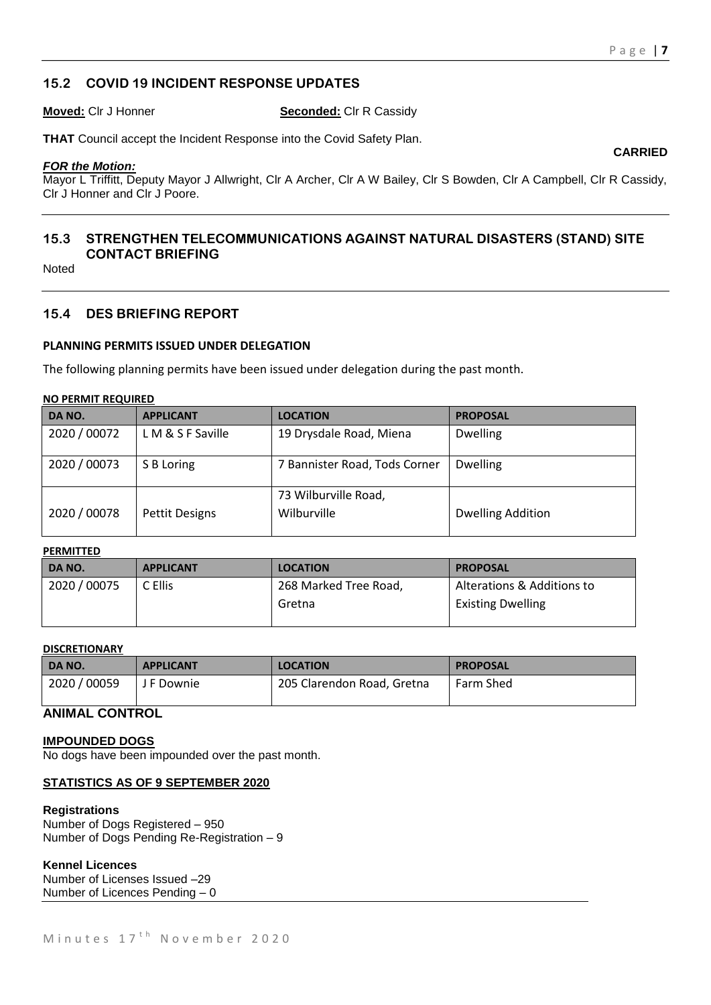**CARRIED**

# **15.2 COVID 19 INCIDENT RESPONSE UPDATES**

**Moved:** Clr J Honner **Seconded:** Clr R Cassidy

**THAT** Council accept the Incident Response into the Covid Safety Plan.

#### *FOR the Motion:*

Mayor L Triffitt, Deputy Mayor J Allwright, Clr A Archer, Clr A W Bailey, Clr S Bowden, Clr A Campbell, Clr R Cassidy, Clr J Honner and Clr J Poore.

# **15.3 STRENGTHEN TELECOMMUNICATIONS AGAINST NATURAL DISASTERS (STAND) SITE CONTACT BRIEFING**

Noted

#### **15.4 DES BRIEFING REPORT**

#### **PLANNING PERMITS ISSUED UNDER DELEGATION**

The following planning permits have been issued under delegation during the past month.

#### **NO PERMIT REQUIRED**

| DA NO.       | <b>APPLICANT</b>      | <b>LOCATION</b>                     | <b>PROPOSAL</b>          |
|--------------|-----------------------|-------------------------------------|--------------------------|
| 2020 / 00072 | L M & S F Saville     | 19 Drysdale Road, Miena             | <b>Dwelling</b>          |
| 2020 / 00073 | S B Loring            | 7 Bannister Road, Tods Corner       | <b>Dwelling</b>          |
| 2020 / 00078 | <b>Pettit Designs</b> | 73 Wilburville Road,<br>Wilburville | <b>Dwelling Addition</b> |

#### **PERMITTED**

| DA NO.       | <b>APPLICANT</b> | <b>LOCATION</b>       | <b>PROPOSAL</b>            |
|--------------|------------------|-----------------------|----------------------------|
| 2020 / 00075 | C Ellis          | 268 Marked Tree Road, | Alterations & Additions to |
|              |                  | Gretna                | <b>Existing Dwelling</b>   |

# **DISCRETIONARY**

| DA NO.                | <b>APPLICANT</b> | <b>LOCATION</b>            | <b>PROPOSAL</b> |
|-----------------------|------------------|----------------------------|-----------------|
| 2020 / 00059          | J F Downie       | 205 Clarendon Road, Gretna | Farm Shed       |
| 1.1111111 A1 A1177 A1 |                  |                            |                 |

### **ANIMAL CONTROL**

#### **IMPOUNDED DOGS**

No dogs have been impounded over the past month.

#### **STATISTICS AS OF 9 SEPTEMBER 2020**

#### **Registrations**

Number of Dogs Registered – 950 Number of Dogs Pending Re-Registration – 9

#### **Kennel Licences**

Number of Licenses Issued –29 Number of Licences Pending – 0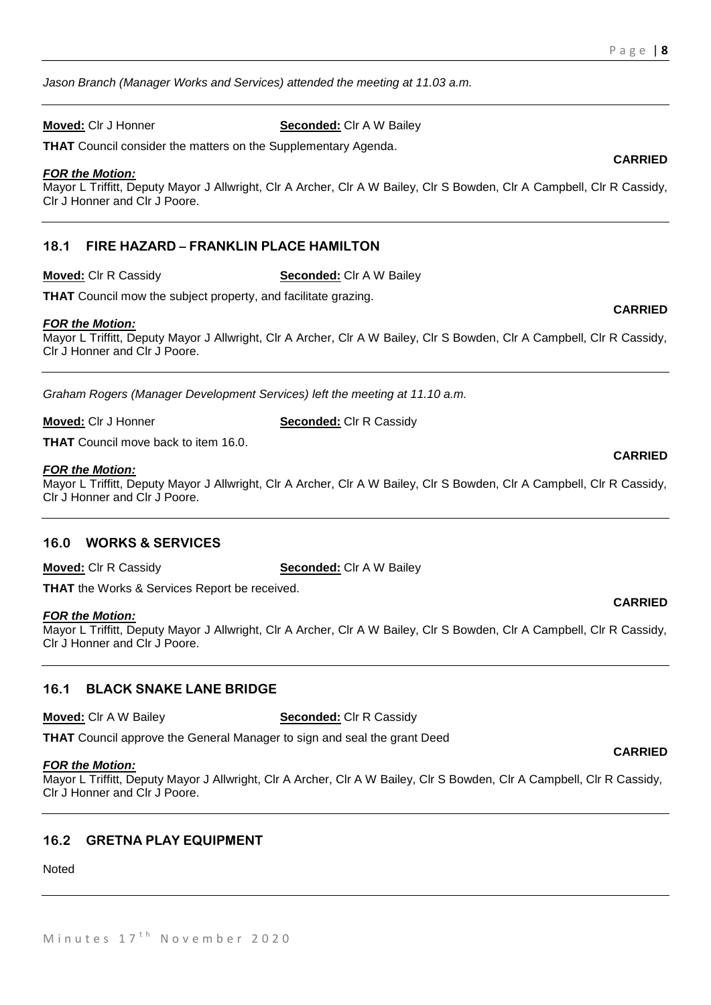*Jason Branch (Manager Works and Services) attended the meeting at 11.03 a.m.*

**Moved:** Clr J Honner **Seconded:** Clr A W Bailey

**THAT** Council consider the matters on the Supplementary Agenda.

#### *FOR the Motion:*

Mayor L Triffitt, Deputy Mayor J Allwright, Clr A Archer, Clr A W Bailey, Clr S Bowden, Clr A Campbell, Clr R Cassidy, Clr J Honner and Clr J Poore.

# **18.1 FIRE HAZARD – FRANKLIN PLACE HAMILTON**

**Moved:** Clr R Cassidy **Seconded:** Clr A W Bailey

**THAT** Council mow the subject property, and facilitate grazing.

#### *FOR the Motion:*

Mayor L Triffitt, Deputy Mayor J Allwright, Clr A Archer, Clr A W Bailey, Clr S Bowden, Clr A Campbell, Clr R Cassidy, Clr J Honner and Clr J Poore.

*Graham Rogers (Manager Development Services) left the meeting at 11.10 a.m.*

**Moved:** Clr J Honner **Seconded:** Clr R Cassidy

**THAT** Council move back to item 16.0.

#### *FOR the Motion:*

Mayor L Triffitt, Deputy Mayor J Allwright, Clr A Archer, Clr A W Bailey, Clr S Bowden, Clr A Campbell, Clr R Cassidy, Clr J Honner and Clr J Poore.

#### **16.0 WORKS & SERVICES**

**Moved:** Clr R Cassidy **Seconded:** Clr A W Bailey

**THAT** the Works & Services Report be received.

#### *FOR the Motion:*

Mayor L Triffitt, Deputy Mayor J Allwright, Clr A Archer, Clr A W Bailey, Clr S Bowden, Clr A Campbell, Clr R Cassidy, Clr J Honner and Clr J Poore.

# **16.1 BLACK SNAKE LANE BRIDGE**

**Moved:** Clr A W Bailey **Seconded:** Clr R Cassidy

**THAT** Council approve the General Manager to sign and seal the grant Deed

#### *FOR the Motion:*

Mayor L Triffitt, Deputy Mayor J Allwright, Clr A Archer, Clr A W Bailey, Clr S Bowden, Clr A Campbell, Clr R Cassidy, Clr J Honner and Clr J Poore.

#### **16.2 GRETNA PLAY EQUIPMENT**

Noted

# **CARRIED**

**CARRIED**

# **CARRIED**

**CARRIED**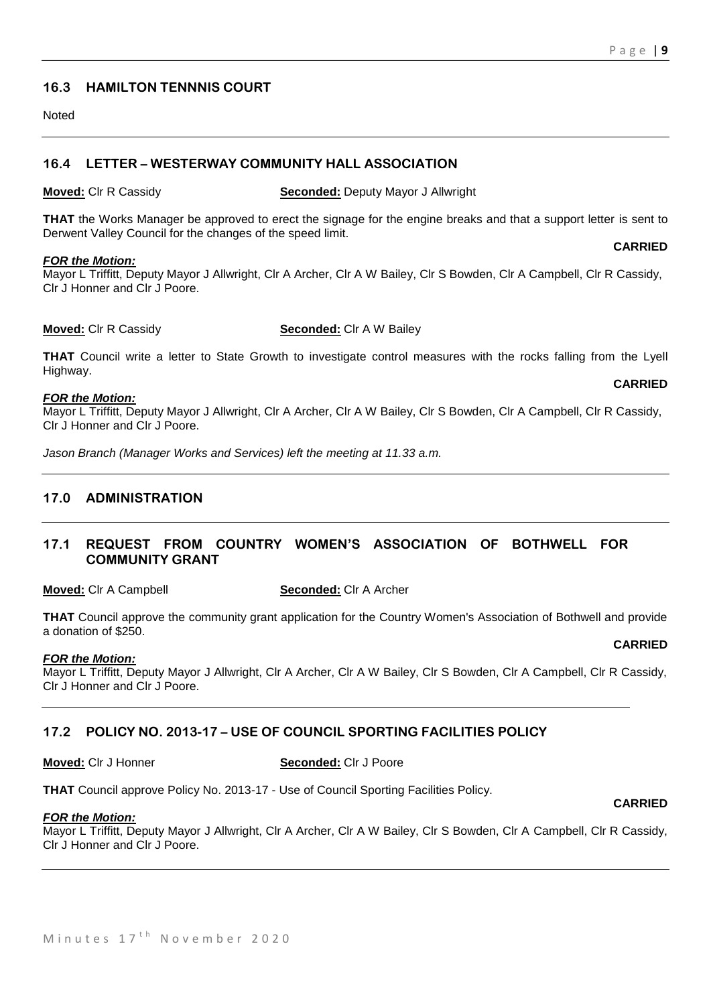# **16.3 HAMILTON TENNNIS COURT**

Noted

# **16.4 LETTER – WESTERWAY COMMUNITY HALL ASSOCIATION**

**Moved:** Clr R Cassidy **Seconded:** Deputy Mayor J Allwright

**THAT** the Works Manager be approved to erect the signage for the engine breaks and that a support letter is sent to Derwent Valley Council for the changes of the speed limit. **CARRIED**

#### *FOR the Motion:*

Mayor L Triffitt, Deputy Mayor J Allwright, Clr A Archer, Clr A W Bailey, Clr S Bowden, Clr A Campbell, Clr R Cassidy, Clr J Honner and Clr J Poore.

#### **Moved:** Clr R Cassidy **Seconded:** Clr A W Bailey

**THAT** Council write a letter to State Growth to investigate control measures with the rocks falling from the Lyell Highway. **CARRIED**

#### *FOR the Motion:*

Mayor L Triffitt, Deputy Mayor J Allwright, Clr A Archer, Clr A W Bailey, Clr S Bowden, Clr A Campbell, Clr R Cassidy, Clr J Honner and Clr J Poore.

*Jason Branch (Manager Works and Services) left the meeting at 11.33 a.m.*

# **17.0 ADMINISTRATION**

### **17.1 REQUEST FROM COUNTRY WOMEN'S ASSOCIATION OF BOTHWELL FOR COMMUNITY GRANT**

**Moved:** Clr A Campbell **Seconded:** Clr A Archer

**THAT** Council approve the community grant application for the Country Women's Association of Bothwell and provide a donation of \$250.

#### *FOR the Motion:*

Mayor L Triffitt, Deputy Mayor J Allwright, Clr A Archer, Clr A W Bailey, Clr S Bowden, Clr A Campbell, Clr R Cassidy, Clr J Honner and Clr J Poore.

#### **17.2 POLICY NO. 2013-17 – USE OF COUNCIL SPORTING FACILITIES POLICY**

**Moved:** Clr J Honner **Seconded:** Clr J Poore

**THAT** Council approve Policy No. 2013-17 - Use of Council Sporting Facilities Policy.

#### **CARRIED**

**CARRIED**

*FOR the Motion:*

Mayor L Triffitt, Deputy Mayor J Allwright, Clr A Archer, Clr A W Bailey, Clr S Bowden, Clr A Campbell, Clr R Cassidy, Clr J Honner and Clr J Poore.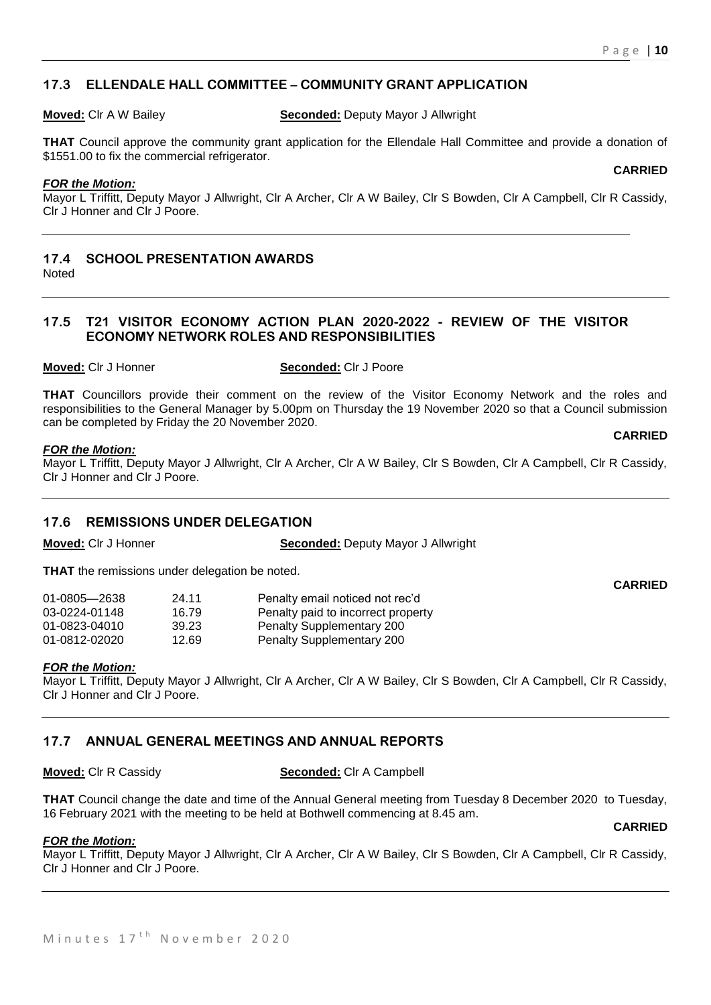**CARRIED**

# **17.3 ELLENDALE HALL COMMITTEE – COMMUNITY GRANT APPLICATION**

**Moved:** Clr A W Bailey **Seconded:** Deputy Mayor J Allwright

**THAT** Council approve the community grant application for the Ellendale Hall Committee and provide a donation of \$1551.00 to fix the commercial refrigerator.

#### *FOR the Motion:*

Mayor L Triffitt, Deputy Mayor J Allwright, Clr A Archer, Clr A W Bailey, Clr S Bowden, Clr A Campbell, Clr R Cassidy, Clr J Honner and Clr J Poore.

#### **17.4 SCHOOL PRESENTATION AWARDS** Noted

# **17.5 T21 VISITOR ECONOMY ACTION PLAN 2020-2022 - REVIEW OF THE VISITOR ECONOMY NETWORK ROLES AND RESPONSIBILITIES**

#### **Moved:** Clr J Honner **Seconded:** Clr J Poore

**THAT** Councillors provide their comment on the review of the Visitor Economy Network and the roles and responsibilities to the General Manager by 5.00pm on Thursday the 19 November 2020 so that a Council submission can be completed by Friday the 20 November 2020.

#### *FOR the Motion:*

Mayor L Triffitt, Deputy Mayor J Allwright, Clr A Archer, Clr A W Bailey, Clr S Bowden, Clr A Campbell, Clr R Cassidy, Clr J Honner and Clr J Poore.

# **17.6 REMISSIONS UNDER DELEGATION**

**Moved:** Clr J Honner **Seconded:** Deputy Mayor J Allwright

**THAT** the remissions under delegation be noted.

| 01-0805—2638  | 24.11 | Penalty email noticed not rec'd    |
|---------------|-------|------------------------------------|
| 03-0224-01148 | 16.79 | Penalty paid to incorrect property |
| 01-0823-04010 | 39.23 | <b>Penalty Supplementary 200</b>   |
| 01-0812-02020 | 12.69 | <b>Penalty Supplementary 200</b>   |

#### *FOR the Motion:*

Mayor L Triffitt, Deputy Mayor J Allwright, Clr A Archer, Clr A W Bailey, Clr S Bowden, Clr A Campbell, Clr R Cassidy, Clr J Honner and Clr J Poore.

# **17.7 ANNUAL GENERAL MEETINGS AND ANNUAL REPORTS**

**Moved:** Clr R Cassidy **Seconded:** Clr A Campbell

**THAT** Council change the date and time of the Annual General meeting from Tuesday 8 December 2020 to Tuesday, 16 February 2021 with the meeting to be held at Bothwell commencing at 8.45 am.

**CARRIED**

#### *FOR the Motion:*

Mayor L Triffitt, Deputy Mayor J Allwright, Clr A Archer, Clr A W Bailey, Clr S Bowden, Clr A Campbell, Clr R Cassidy, Clr J Honner and Clr J Poore.

**CARRIED**